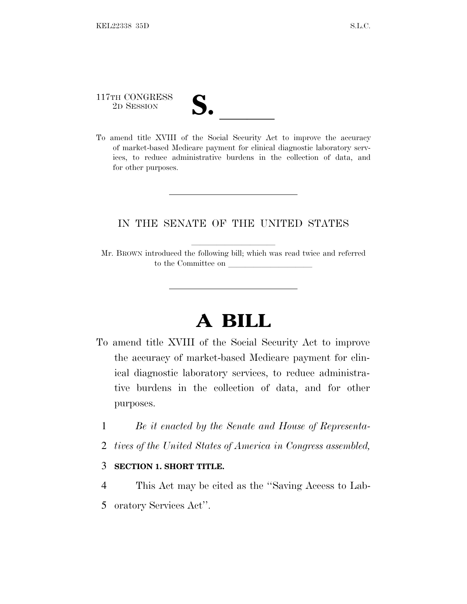## 117TH CONGRESS 117TH CONGRESS<br>
2D SESSION<br>
To amend title XVIII of the Social Security Act to improve the accuracy

of market-based Medicare payment for clinical diagnostic laboratory services, to reduce administrative burdens in the collection of data, and for other purposes.

## IN THE SENATE OF THE UNITED STATES

Mr. BROWN introduced the following bill; which was read twice and referred to the Committee on

## **A BILL**

- To amend title XVIII of the Social Security Act to improve the accuracy of market-based Medicare payment for clinical diagnostic laboratory services, to reduce administrative burdens in the collection of data, and for other purposes.
	- 1 *Be it enacted by the Senate and House of Representa-*
	- 2 *tives of the United States of America in Congress assembled,*

## 3 **SECTION 1. SHORT TITLE.**

4 This Act may be cited as the ''Saving Access to Lab-5 oratory Services Act''.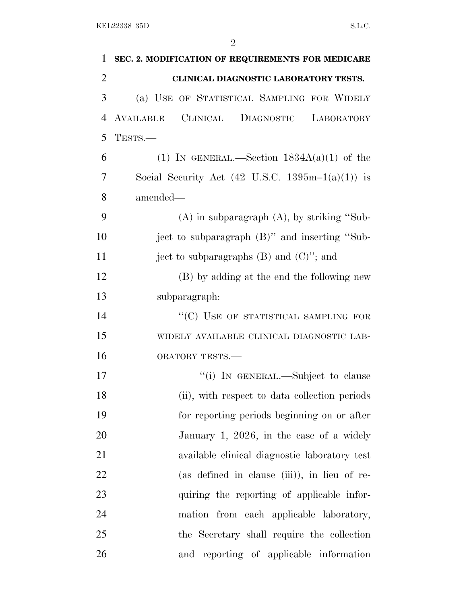| 1              | SEC. 2. MODIFICATION OF REQUIREMENTS FOR MEDICARE                     |
|----------------|-----------------------------------------------------------------------|
| $\overline{2}$ | CLINICAL DIAGNOSTIC LABORATORY TESTS.                                 |
| 3              | (a) USE OF STATISTICAL SAMPLING FOR WIDELY                            |
| $\overline{4}$ | CLINICAL<br>AVAILABLE<br>DIAGNOSTIC<br>LABORATORY                     |
| 5              | TESTS.-                                                               |
| 6              | (1) IN GENERAL.—Section $1834A(a)(1)$ of the                          |
| 7              | Social Security Act $(42 \text{ U.S.C. } 1395 \text{m} - 1(a)(1))$ is |
| 8              | amended—                                                              |
| 9              | $(A)$ in subparagraph $(A)$ , by striking "Sub-                       |
| 10             | ject to subparagraph (B)" and inserting "Sub-                         |
| 11             | ject to subparagraphs $(B)$ and $(C)$ "; and                          |
| 12             | (B) by adding at the end the following new                            |
| 13             | subparagraph:                                                         |
| 14             | "(C) USE OF STATISTICAL SAMPLING FOR                                  |
| 15             | WIDELY AVAILABLE CLINICAL DIAGNOSTIC LAB-                             |
| 16             | ORATORY TESTS.-                                                       |
| 17             | "(i) IN GENERAL.—Subject to clause                                    |
| 18             | (ii), with respect to data collection periods                         |
| 19             | for reporting periods beginning on or after                           |
| 20             | January 1, 2026, in the case of a widely                              |
| 21             | available clinical diagnostic laboratory test                         |
| 22             | (as defined in clause (iii)), in lieu of re-                          |
| 23             | quiring the reporting of applicable infor-                            |
| 24             | mation from each applicable laboratory,                               |
| 25             | the Secretary shall require the collection                            |
| 26             | and reporting of applicable information                               |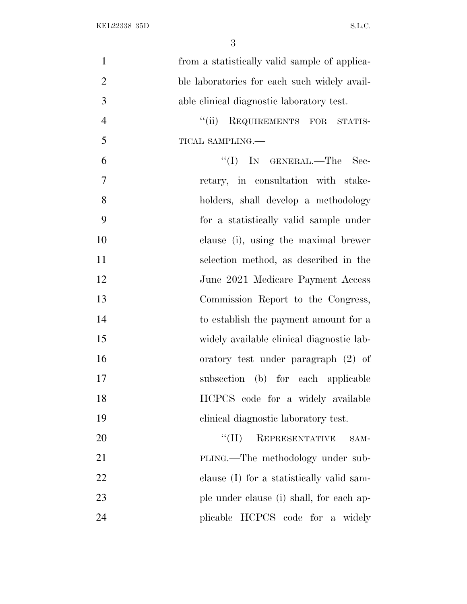| $\mathbf{1}$   | from a statistically valid sample of applica- |
|----------------|-----------------------------------------------|
| $\overline{2}$ | ble laboratories for each such widely avail-  |
| 3              | able clinical diagnostic laboratory test.     |
| $\overline{4}$ | ``(ii)<br>REQUIREMENTS FOR STATIS-            |
| 5              | TICAL SAMPLING.                               |
| 6              | $\lq\lq$ (I) IN GENERAL.—The<br>Sec-          |
| $\overline{7}$ | retary, in consultation with stake-           |
| 8              | holders, shall develop a methodology          |
| 9              | for a statistically valid sample under        |
| 10             | clause (i), using the maximal brewer          |
| 11             | selection method, as described in the         |
| 12             | June 2021 Medicare Payment Access             |
| 13             | Commission Report to the Congress,            |
| 14             | to establish the payment amount for a         |
| 15             | widely available clinical diagnostic lab-     |
| 16             | oratory test under paragraph (2) of           |
| 17             | subsection (b) for each applicable            |
| 18             | HCPCS code for a widely available             |
| 19             | clinical diagnostic laboratory test.          |
| 20             | REPRESENTATIVE<br>``(II)<br>SAM-              |
| 21             | PLING.—The methodology under sub-             |
| 22             | clause (I) for a statistically valid sam-     |
| 23             | ple under clause (i) shall, for each ap-      |
| 24             | plicable HCPCS code for a widely              |
|                |                                               |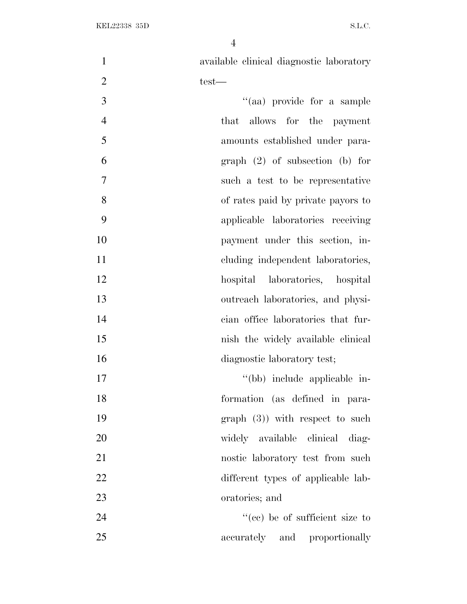available clinical diagnostic laboratory  $2 \t\t \text{test}$  $"(aa)$  provide for a sample that allows for the payment amounts established under para- graph (2) of subsection (b) for such a test to be representative of rates paid by private payors to applicable laboratories receiving payment under this section, in-11 cluding independent laboratories, hospital laboratories, hospital outreach laboratories, and physi- cian office laboratories that fur-15 nish the widely available clinical 16 diagnostic laboratory test;  $''(bb)$  include applicable in- formation (as defined in para-19 graph (3)) with respect to such widely available clinical diag-21 nostic laboratory test from such 22 different types of applicable lab- oratories; and 24 ''(cc) be of sufficient size to 25 accurately and proportionally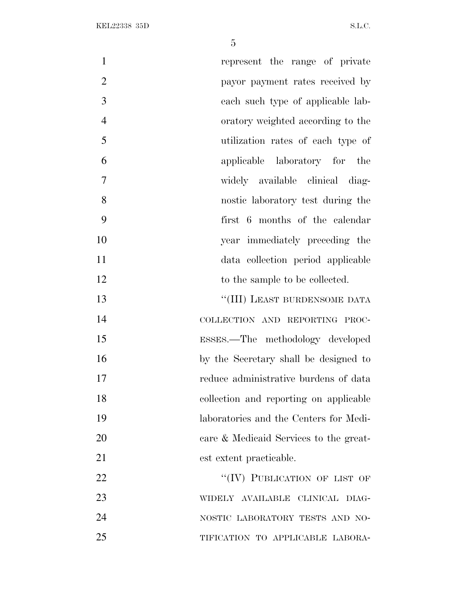| $\mathbf{1}$   | represent the range of private         |
|----------------|----------------------------------------|
| $\overline{2}$ | payor payment rates received by        |
| 3              | each such type of applicable lab-      |
| $\overline{4}$ | oratory weighted according to the      |
| 5              | utilization rates of each type of      |
| 6              | applicable laboratory for the          |
| 7              | widely available clinical diag-        |
| 8              | nostic laboratory test during the      |
| 9              | first 6 months of the calendar         |
| 10             | year immediately preceding the         |
| 11             | data collection period applicable      |
| 12             | to the sample to be collected.         |
| 13             | "(III) LEAST BURDENSOME DATA           |
| 14             | COLLECTION AND REPORTING PROC-         |
| 15             | ESSES.—The methodology developed       |
| 16             | by the Secretary shall be designed to  |
| 17             | reduce administrative burdens of data  |
| 18             | collection and reporting on applicable |
| 19             | laboratories and the Centers for Medi- |
| 20             | care & Medicaid Services to the great- |
| 21             | est extent practicable.                |
| 22             | "(IV) PUBLICATION OF LIST OF           |
| 23             | WIDELY AVAILABLE CLINICAL DIAG-        |
| 24             | NOSTIC LABORATORY TESTS AND NO-        |
| 25             | TIFICATION TO APPLICABLE LABORA-       |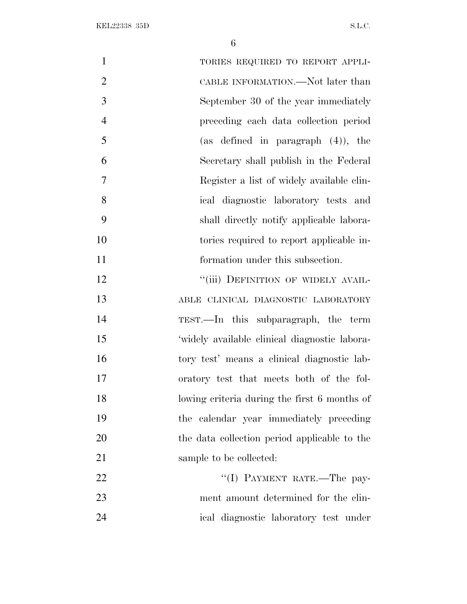| $\mathbf{1}$   | TORIES REQUIRED TO REPORT APPLI-              |
|----------------|-----------------------------------------------|
| $\overline{2}$ | CABLE INFORMATION.—Not later than             |
| 3              | September 30 of the year immediately          |
| $\overline{4}$ | preceding each data collection period         |
| 5              | (as defined in paragraph $(4)$ ), the         |
| 6              | Secretary shall publish in the Federal        |
| 7              | Register a list of widely available clin-     |
| 8              | ical diagnostic laboratory tests and          |
| 9              | shall directly notify applicable labora-      |
| 10             | tories required to report applicable in-      |
| 11             | formation under this subsection.              |
| 12             | "(iii) DEFINITION OF WIDELY AVAIL-            |
| 13             | ABLE CLINICAL DIAGNOSTIC LABORATORY           |
| 14             | TEST.—In this subparagraph, the term          |
| 15             | 'widely available clinical diagnostic labora- |
| 16             | tory test' means a clinical diagnostic lab-   |
| 17             | oratory test that meets both of the fol-      |
| 18             | lowing criteria during the first 6 months of  |
| 19             | the calendar year immediately preceding       |
| 20             | the data collection period applicable to the  |
| 21             | sample to be collected:                       |
| 22             | "(I) PAYMENT RATE.-The pay-                   |
| 23             | ment amount determined for the clin-          |
| 24             | ical diagnostic laboratory test under         |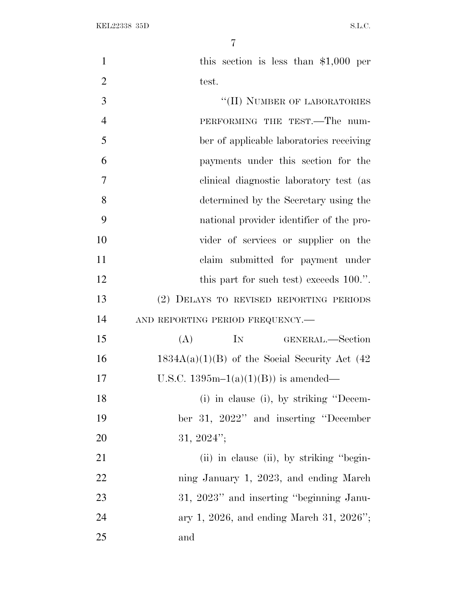1 this section is less than \$1,000 per 2 test. ''(II) NUMBER OF LABORATORIES PERFORMING THE TEST.—The num- ber of applicable laboratories receiving payments under this section for the clinical diagnostic laboratory test (as determined by the Secretary using the national provider identifier of the pro- vider of services or supplier on the claim submitted for payment under 12 this part for such test) exceeds 100.". (2) DELAYS TO REVISED REPORTING PERIODS 14 AND REPORTING PERIOD FREQUENCY. (A) IN GENERAL.—Section 16 1834A(a)(1)(B) of the Social Security Act  $(42)$ 17 U.S.C.  $1395m-1(a)(1)(B)$  is amended— (i) in clause (i), by striking ''Decem- ber 31, 2022'' and inserting ''December 31, 2024'';

21 (ii) in clause (ii), by striking "begin- ning January 1, 2023, and ending March 23 31, 2023" and inserting "beginning Janu- ary 1, 2026, and ending March 31, 2026''; and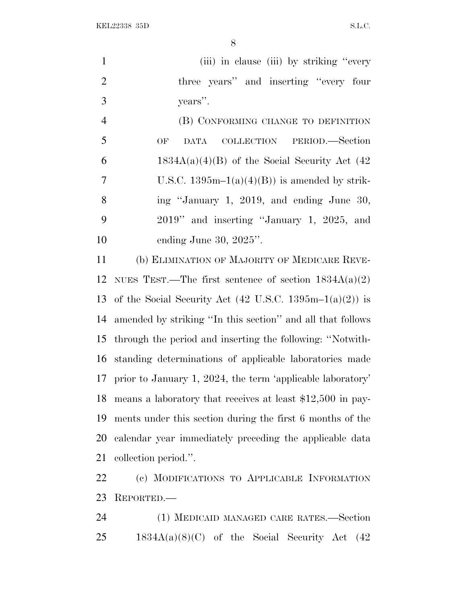KEL22338 35D S.L.C.

1 (iii) in clause (iii) by striking "every 2 three years'' and inserting "every four years''.

4 (B) CONFORMING CHANGE TO DEFINITION OF DATA COLLECTION PERIOD.—Section 6 1834A(a)(4)(B) of the Social Security Act  $(42)$ 7 U.S.C.  $1395m-1(a)(4)(B)$  is amended by strik- ing ''January 1, 2019, and ending June 30, 2019'' and inserting ''January 1, 2025, and ending June 30, 2025''.

 (b) ELIMINATION OF MAJORITY OF MEDICARE REVE-12 NUES TEST.—The first sentence of section  $1834A(a)(2)$ 13 of the Social Security Act  $(42 \text{ U.S.C. } 1395 \text{m} - 1(a)(2))$  is amended by striking ''In this section'' and all that follows through the period and inserting the following: ''Notwith- standing determinations of applicable laboratories made prior to January 1, 2024, the term 'applicable laboratory' means a laboratory that receives at least \$12,500 in pay- ments under this section during the first 6 months of the calendar year immediately preceding the applicable data collection period.''.

 (c) MODIFICATIONS TO APPLICABLE INFORMATION REPORTED.—

 (1) MEDICAID MANAGED CARE RATES.—Section 1834A(a)(8)(C) of the Social Security Act (42)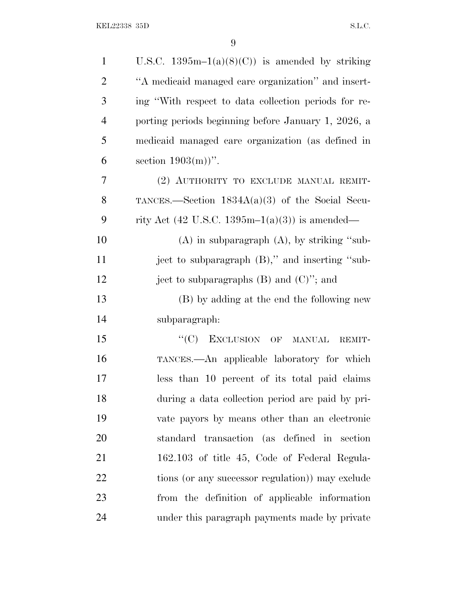| $\mathbf{1}$   | U.S.C. $1395m-1(a)(8)(C)$ is amended by striking                    |
|----------------|---------------------------------------------------------------------|
| $\overline{2}$ | "A medicaid managed care organization" and insert-                  |
| 3              | ing "With respect to data collection periods for re-                |
| $\overline{4}$ | porting periods beginning before January 1, 2026, a                 |
| 5              | medicaid managed care organization (as defined in                   |
| 6              | section $1903(m)$ ".                                                |
| 7              | (2) AUTHORITY TO EXCLUDE MANUAL REMIT-                              |
| 8              | TANCES.—Section $1834A(a)(3)$ of the Social Secu-                   |
| 9              | rity Act $(42 \text{ U.S.C. } 1395 \text{m} - 1(a)(3))$ is amended— |
| 10             | $(A)$ in subparagraph $(A)$ , by striking "sub-                     |
| 11             | ject to subparagraph (B)," and inserting "sub-                      |
| 12             | ject to subparagraphs $(B)$ and $(C)$ "; and                        |
| 13             | (B) by adding at the end the following new                          |
| 14             | subparagraph:                                                       |
| 15             | "(C) EXCLUSION OF MANUAL<br>REMIT-                                  |
| 16             | TANCES.—An applicable laboratory for which                          |
| 17             | less than 10 percent of its total paid claims                       |
| 18             | during a data collection period are paid by pri-                    |
| 19             | vate payors by means other than an electronic                       |
| 20             | standard transaction (as defined in section                         |
| 21             | 162.103 of title 45, Code of Federal Regula-                        |
| 22             | tions (or any successor regulation)) may exclude                    |
| 23             | from the definition of applicable information                       |
| 24             | under this paragraph payments made by private                       |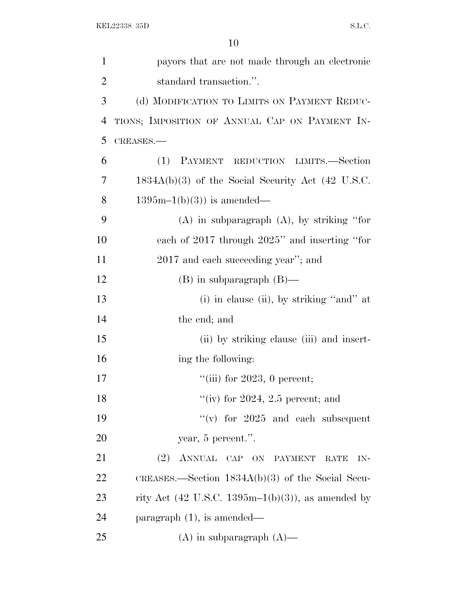| $\mathbf{1}$   | payors that are not made through an electronic      |
|----------------|-----------------------------------------------------|
| $\overline{2}$ | standard transaction.".                             |
| 3              | (d) MODIFICATION TO LIMITS ON PAYMENT REDUC-        |
| $\overline{4}$ | TIONS; IMPOSITION OF ANNUAL CAP ON PAYMENT IN-      |
| 5              | CREASES.                                            |
| 6              | PAYMENT REDUCTION LIMITS.-Section<br>(1)            |
| 7              | $1834A(b)(3)$ of the Social Security Act (42 U.S.C. |
| 8              | $1395m-1(b)(3)$ is amended—                         |
| 9              | $(A)$ in subparagraph $(A)$ , by striking "for      |
| 10             | each of 2017 through 2025" and inserting "for       |
| 11             | 2017 and each succeeding year"; and                 |
| 12             | $(B)$ in subparagraph $(B)$ —                       |
| 13             | $(i)$ in clause $(ii)$ , by striking "and" at       |
| 14             | the end; and                                        |
| 15             | (ii) by striking clause (iii) and insert-           |
| 16             | ing the following:                                  |
| 17             | "(iii) for $2023$ , 0 percent;                      |
| 18             | "(iv) for $2024$ , 2.5 percent; and                 |
| 19             | "(v) for $2025$ and each subsequent                 |
| 20             | year, 5 percent.".                                  |
| 21             | (2)<br>ANNUAL CAP ON PAYMENT<br><b>RATE</b><br>IN-  |
| 22             | CREASES.—Section $1834A(b)(3)$ of the Social Secu-  |
| 23             | rity Act (42 U.S.C. 1395m-1(b)(3)), as amended by   |
| 24             | paragraph $(1)$ , is amended—                       |
| 25             | $(A)$ in subparagraph $(A)$ —                       |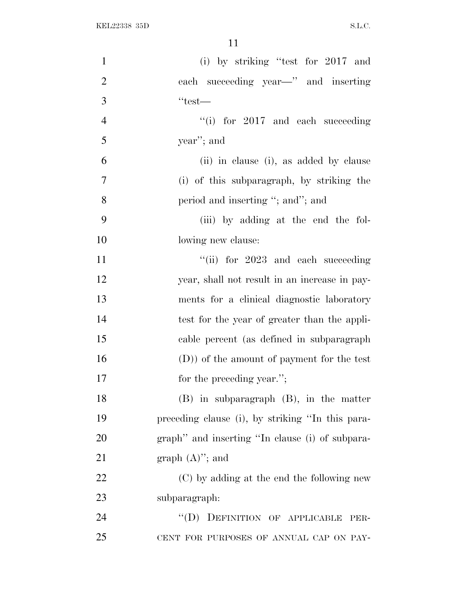| $\mathbf{1}$   | (i) by striking "test for $2017$ and             |
|----------------|--------------------------------------------------|
| $\overline{2}$ | each succeeding year—" and inserting             |
| 3              | $``test$ —                                       |
| $\overline{4}$ | "(i) for $2017$ and each succeeding              |
| 5              | year"; and                                       |
| 6              | (ii) in clause (i), as added by clause           |
| $\overline{7}$ | (i) of this subparagraph, by striking the        |
| 8              | period and inserting "; and"; and                |
| 9              | (iii) by adding at the end the fol-              |
| 10             | lowing new clause:                               |
| 11             | "(ii) for 2023 and each succeeding               |
| 12             | year, shall not result in an increase in pay-    |
| 13             | ments for a clinical diagnostic laboratory       |
| 14             | test for the year of greater than the appli-     |
| 15             | cable percent (as defined in subparagraph        |
| 16             | (D)) of the amount of payment for the test       |
| 17             | for the preceding year.";                        |
| 18             | $(B)$ in subparagraph $(B)$ , in the matter      |
| 19             | preceding clause (i), by striking "In this para- |
| <b>20</b>      | graph" and inserting "In clause (i) of subpara-  |
| 21             | graph $(A)$ "; and                               |
| 22             | (C) by adding at the end the following new       |
| 23             | subparagraph:                                    |
| 24             | "(D) DEFINITION OF APPLICABLE<br>PER-            |
| 25             | CENT FOR PURPOSES OF ANNUAL CAP ON PAY-          |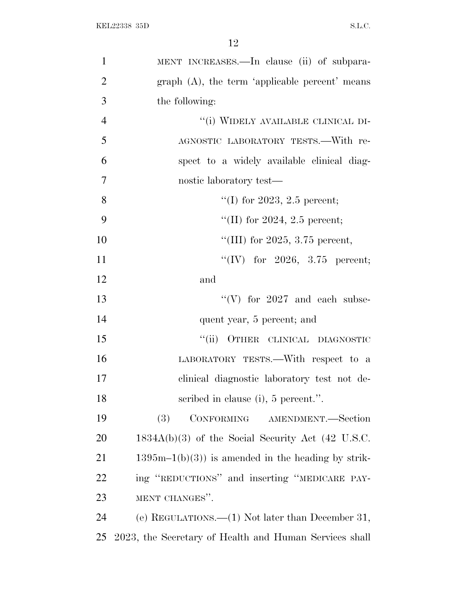| $\mathbf{1}$   | MENT INCREASES.—In clause (ii) of subpara-             |
|----------------|--------------------------------------------------------|
| $\overline{2}$ | graph $(A)$ , the term 'applicable percent' means      |
| 3              | the following:                                         |
| $\overline{4}$ | "(i) WIDELY AVAILABLE CLINICAL DI-                     |
| 5              | AGNOSTIC LABORATORY TESTS. With re-                    |
| 6              | spect to a widely available clinical diag-             |
| $\overline{7}$ | nostic laboratory test—                                |
| 8              | "(I) for 2023, 2.5 percent;                            |
| 9              | "(II) for 2024, 2.5 percent;                           |
| 10             | "(III) for 2025, 3.75 percent,                         |
| 11             | "(IV) for 2026, 3.75 percent;                          |
| 12             | and                                                    |
| 13             | "(V) for $2027$ and each subse-                        |
| 14             | quent year, 5 percent; and                             |
| 15             | "(ii) OTHER CLINICAL DIAGNOSTIC                        |
| 16             | LABORATORY TESTS.—With respect to a                    |
| 17             | clinical diagnostic laboratory test not de-            |
| 18             | scribed in clause (i), 5 percent.".                    |
| 19             | CONFORMING AMENDMENT.—Section<br>(3)                   |
| 20             | $1834A(b)(3)$ of the Social Security Act (42 U.S.C.    |
| 21             | $1395m-1(b)(3)$ is amended in the heading by strik-    |
| 22             | ing "REDUCTIONS" and inserting "MEDICARE PAY-          |
| 23             | MENT CHANGES".                                         |
| 24             | (e) REGULATIONS.— $(1)$ Not later than December 31,    |
| 25             | 2023, the Secretary of Health and Human Services shall |